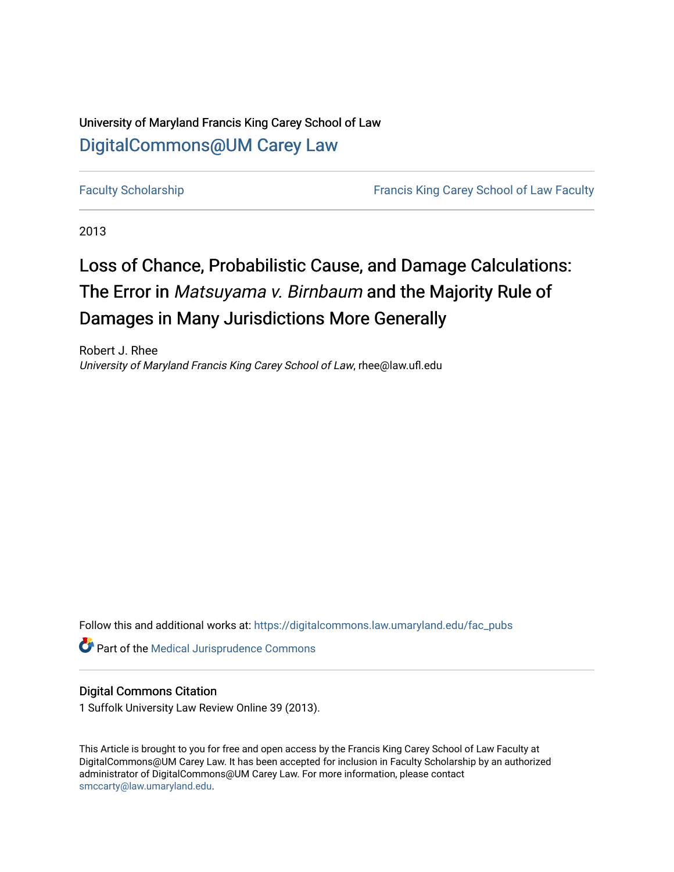# University of Maryland Francis King Carey School of Law [DigitalCommons@UM Carey Law](https://digitalcommons.law.umaryland.edu/)

[Faculty Scholarship](https://digitalcommons.law.umaryland.edu/fac_pubs) **Francis King Carey School of Law Faculty** 

2013

# Loss of Chance, Probabilistic Cause, and Damage Calculations: The Error in Matsuyama v. Birnbaum and the Majority Rule of Damages in Many Jurisdictions More Generally

Robert J. Rhee University of Maryland Francis King Carey School of Law, rhee@law.ufl.edu

Follow this and additional works at: [https://digitalcommons.law.umaryland.edu/fac\\_pubs](https://digitalcommons.law.umaryland.edu/fac_pubs?utm_source=digitalcommons.law.umaryland.edu%2Ffac_pubs%2F1308&utm_medium=PDF&utm_campaign=PDFCoverPages) 

**Part of the Medical Jurisprudence Commons** 

#### Digital Commons Citation

1 Suffolk University Law Review Online 39 (2013).

This Article is brought to you for free and open access by the Francis King Carey School of Law Faculty at DigitalCommons@UM Carey Law. It has been accepted for inclusion in Faculty Scholarship by an authorized administrator of DigitalCommons@UM Carey Law. For more information, please contact [smccarty@law.umaryland.edu](mailto:smccarty@law.umaryland.edu).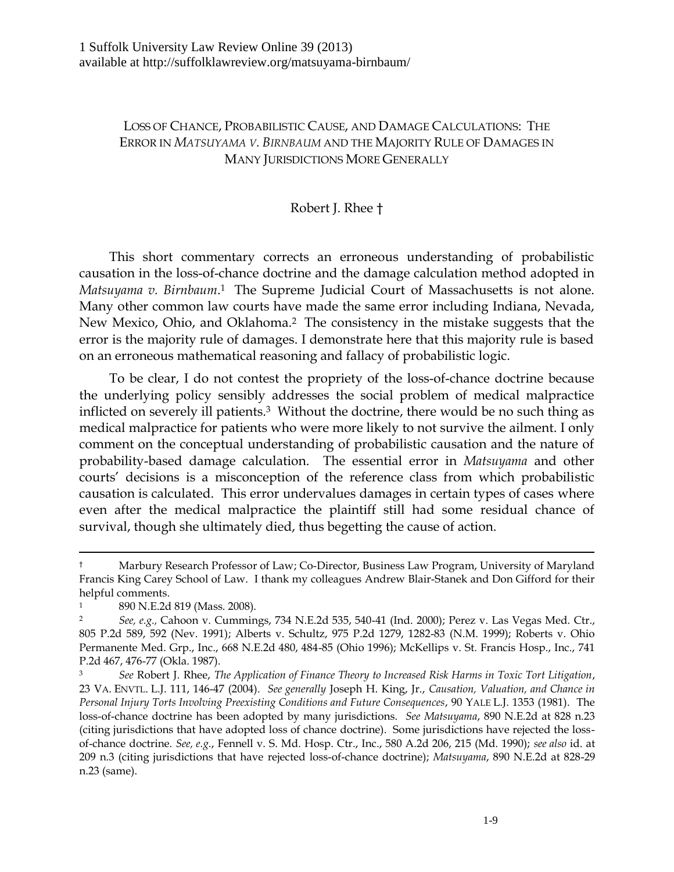# LOSS OF CHANCE, PROBABILISTIC CAUSE, AND DAMAGE CALCULATIONS: THE ERROR IN *MATSUYAMA V. BIRNBAUM* AND THE MAJORITY RULE OF DAMAGES IN MANY JURISDICTIONS MORE GENERALLY

# <span id="page-1-1"></span>Robert J. Rhee †

This short commentary corrects an erroneous understanding of probabilistic causation in the loss-of-chance doctrine and the damage calculation method adopted in *Matsuyama v. Birnbaum*. <sup>1</sup> The Supreme Judicial Court of Massachusetts is not alone. Many other common law courts have made the same error including Indiana, Nevada, New Mexico, Ohio, and Oklahoma.<sup>2</sup> The consistency in the mistake suggests that the error is the majority rule of damages. I demonstrate here that this majority rule is based on an erroneous mathematical reasoning and fallacy of probabilistic logic.

<span id="page-1-0"></span>To be clear, I do not contest the propriety of the loss-of-chance doctrine because the underlying policy sensibly addresses the social problem of medical malpractice inflicted on severely ill patients.<sup>3</sup> Without the doctrine, there would be no such thing as medical malpractice for patients who were more likely to not survive the ailment. I only comment on the conceptual understanding of probabilistic causation and the nature of probability-based damage calculation. The essential error in *Matsuyama* and other courts' decisions is a misconception of the reference class from which probabilistic causation is calculated. This error undervalues damages in certain types of cases where even after the medical malpractice the plaintiff still had some residual chance of survival, though she ultimately died, thus begetting the cause of action.

<sup>†</sup> Marbury Research Professor of Law; Co-Director, Business Law Program, University of Maryland Francis King Carey School of Law. I thank my colleagues Andrew Blair-Stanek and Don Gifford for their helpful comments.

<sup>1</sup> 890 N.E.2d 819 (Mass. 2008).

<sup>2</sup> *See, e.g.,* Cahoon v. Cummings, 734 N.E.2d 535, 540-41 (Ind. 2000); Perez v. Las Vegas Med. Ctr., 805 P.2d 589, 592 (Nev. 1991); Alberts v. Schultz, 975 P.2d 1279, 1282-83 (N.M. 1999); Roberts v. Ohio Permanente Med. Grp., Inc., 668 N.E.2d 480, 484-85 (Ohio 1996); McKellips v. St. Francis Hosp., Inc., 741 P.2d 467, 476-77 (Okla. 1987).

<sup>3</sup> *See* Robert J. Rhee, *The Application of Finance Theory to Increased Risk Harms in Toxic Tort Litigation*, 23 VA. ENVTL. L.J. 111, 146-47 (2004). *See generally* Joseph H. King, Jr., *Causation, Valuation, and Chance in Personal Injury Torts Involving Preexisting Conditions and Future Consequences*, 90 YALE L.J. 1353 (1981). The loss-of-chance doctrine has been adopted by many jurisdictions. *See Matsuyama*, 890 N.E.2d at 828 n.23 (citing jurisdictions that have adopted loss of chance doctrine). Some jurisdictions have rejected the lossof-chance doctrine. *See, e.g.*, Fennell v. S. Md. Hosp. Ctr., Inc., 580 A.2d 206, 215 (Md. 1990); *see also* id. at 209 n.3 (citing jurisdictions that have rejected loss-of-chance doctrine); *Matsuyama*, 890 N.E.2d at 828-29 n.23 (same).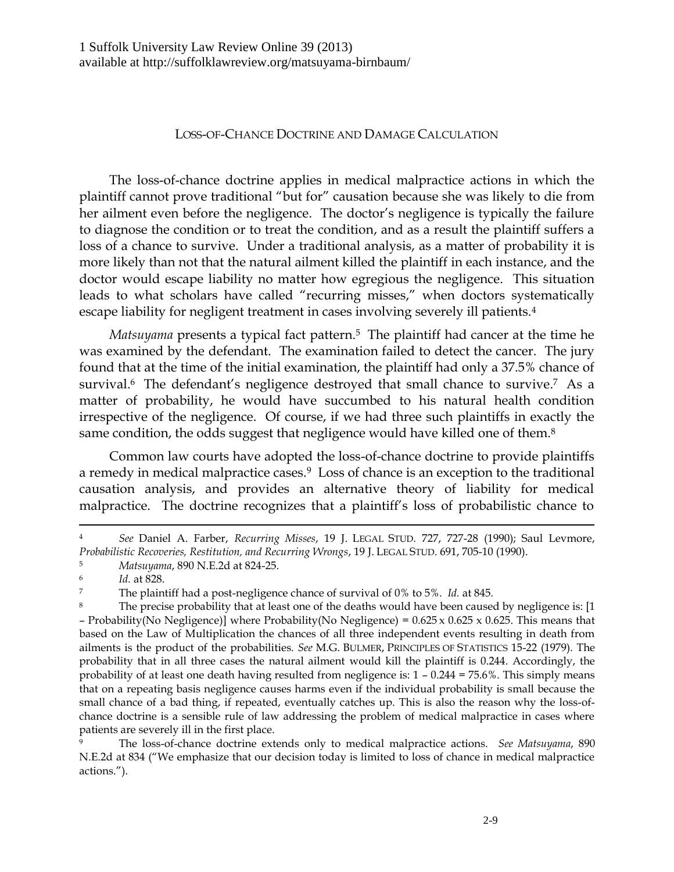#### LOSS-OF-CHANCE DOCTRINE AND DAMAGE CALCULATION

The loss-of-chance doctrine applies in medical malpractice actions in which the plaintiff cannot prove traditional "but for" causation because she was likely to die from her ailment even before the negligence. The doctor's negligence is typically the failure to diagnose the condition or to treat the condition, and as a result the plaintiff suffers a loss of a chance to survive. Under a traditional analysis, as a matter of probability it is more likely than not that the natural ailment killed the plaintiff in each instance, and the doctor would escape liability no matter how egregious the negligence. This situation leads to what scholars have called "recurring misses," when doctors systematically escape liability for negligent treatment in cases involving severely ill patients.<sup>4</sup>

*Matsuyama* presents a typical fact pattern.<sup>5</sup> The plaintiff had cancer at the time he was examined by the defendant. The examination failed to detect the cancer. The jury found that at the time of the initial examination, the plaintiff had only a 37.5% chance of survival.<sup>6</sup> The defendant's negligence destroyed that small chance to survive.<sup>7</sup> As a matter of probability, he would have succumbed to his natural health condition irrespective of the negligence. Of course, if we had three such plaintiffs in exactly the same condition, the odds suggest that negligence would have killed one of them.<sup>8</sup>

Common law courts have adopted the loss-of-chance doctrine to provide plaintiffs a remedy in medical malpractice cases. <sup>9</sup> Loss of chance is an exception to the traditional causation analysis, and provides an alternative theory of liability for medical malpractice. The doctrine recognizes that a plaintiff's loss of probabilistic chance to

 $\overline{a}$ 

<sup>9</sup> The loss-of-chance doctrine extends only to medical malpractice actions. *See Matsuyama*, 890 N.E.2d at 834 ("We emphasize that our decision today is limited to loss of chance in medical malpractice actions.").

<sup>4</sup> *See* Daniel A. Farber, *Recurring Misses*, 19 J. LEGAL STUD. 727, 727-28 (1990); Saul Levmore, *Probabilistic Recoveries, Restitution, and Recurring Wrongs*, 19 J. LEGAL STUD. 691, 705-10 (1990).

<sup>5</sup> *Matsuyama*, 890 N.E.2d at 824-25.

<sup>6</sup> *Id.* at 828.

<sup>7</sup> The plaintiff had a post-negligence chance of survival of 0% to 5%. *Id.* at 845.

<sup>8</sup> The precise probability that at least one of the deaths would have been caused by negligence is: [1 – Probability(No Negligence)] where Probability(No Negligence) =  $0.625 \times 0.625 \times 0.625$ . This means that based on the Law of Multiplication the chances of all three independent events resulting in death from ailments is the product of the probabilities. *See* M.G. BULMER, PRINCIPLES OF STATISTICS 15-22 (1979). The probability that in all three cases the natural ailment would kill the plaintiff is 0.244. Accordingly, the probability of at least one death having resulted from negligence is:  $1 - 0.244 = 75.6\%$ . This simply means that on a repeating basis negligence causes harms even if the individual probability is small because the small chance of a bad thing, if repeated, eventually catches up. This is also the reason why the loss-ofchance doctrine is a sensible rule of law addressing the problem of medical malpractice in cases where patients are severely ill in the first place.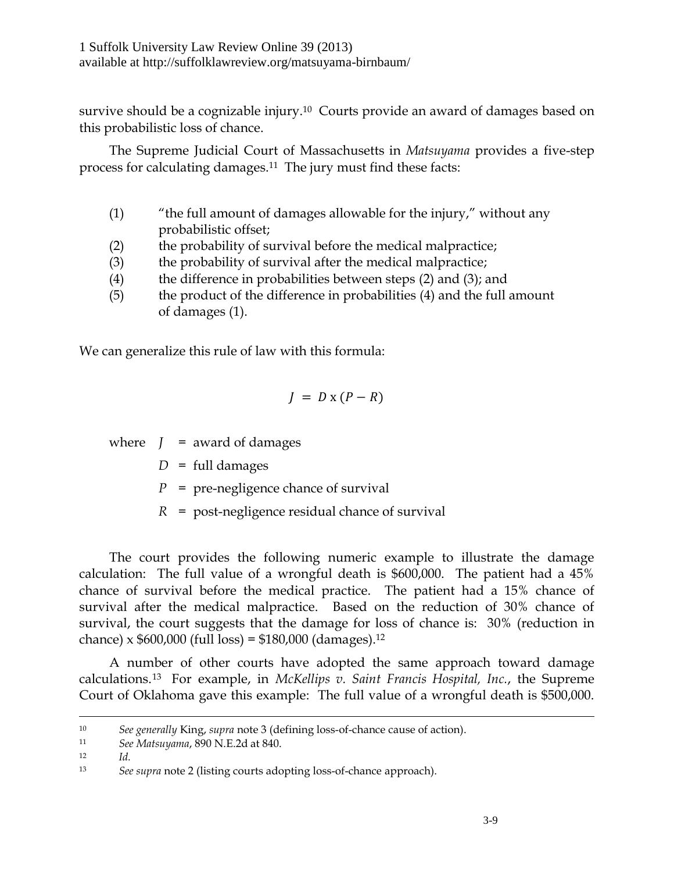survive should be a cognizable injury.<sup>10</sup> Courts provide an award of damages based on this probabilistic loss of chance.

The Supreme Judicial Court of Massachusetts in *Matsuyama* provides a five-step process for calculating damages.11 The jury must find these facts:

- (1) "the full amount of damages allowable for the injury," without any probabilistic offset;
- (2) the probability of survival before the medical malpractice;
- (3) the probability of survival after the medical malpractice;
- (4) the difference in probabilities between steps  $(2)$  and  $(3)$ ; and
- (5) the product of the difference in probabilities (4) and the full amount of damages (1).

We can generalize this rule of law with this formula:

$$
J = D \times (P - R)
$$

where  $J =$  award of damages

 $D = \text{full damages}$ 

*P* = pre-negligence chance of survival

*R* = post-negligence residual chance of survival

The court provides the following numeric example to illustrate the damage calculation: The full value of a wrongful death is \$600,000. The patient had a 45% chance of survival before the medical practice. The patient had a 15% chance of survival after the medical malpractice. Based on the reduction of 30% chance of survival, the court suggests that the damage for loss of chance is: 30% (reduction in chance) x \$600,000 (full loss) = \$180,000 (damages). 12

A number of other courts have adopted the same approach toward damage calculations.<sup>13</sup> For example, in *McKellips v. Saint Francis Hospital, Inc.*, the Supreme Court of Oklahoma gave this example: The full value of a wrongful death is \$500,000.

<sup>10</sup> *See generally* King, *supra* note [3](#page-1-0) (defining loss-of-chance cause of action).

<sup>11</sup> *See Matsuyama*, 890 N.E.2d at 840.

<sup>12</sup> *Id.*

<sup>13</sup> *See supra* note [2](#page-1-1) (listing courts adopting loss-of-chance approach).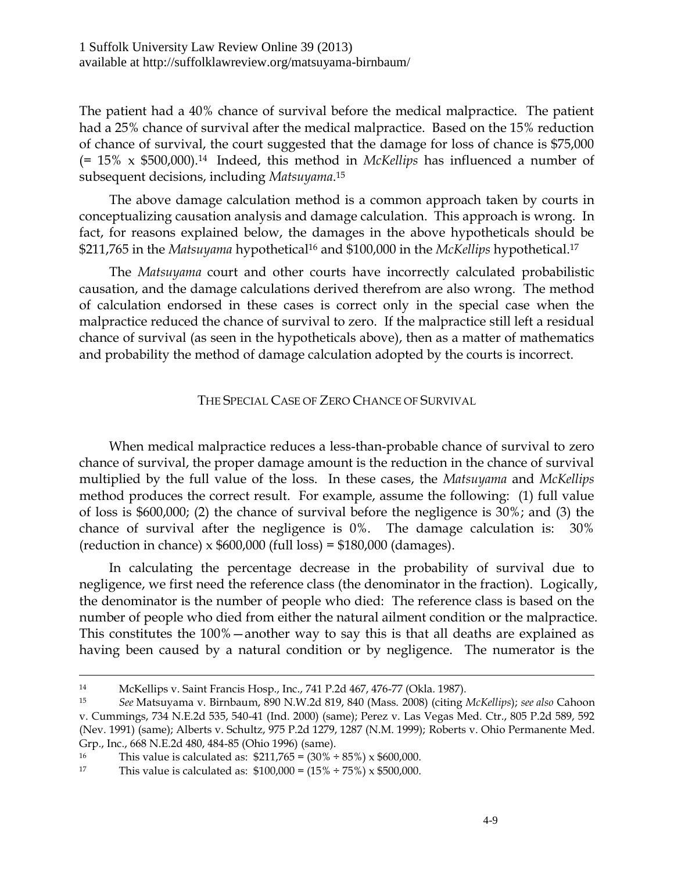The patient had a 40% chance of survival before the medical malpractice. The patient had a 25% chance of survival after the medical malpractice. Based on the 15% reduction of chance of survival, the court suggested that the damage for loss of chance is \$75,000 (= 15% x \$500,000).<sup>14</sup> Indeed, this method in *McKellips* has influenced a number of subsequent decisions, including *Matsuyama*. 15

The above damage calculation method is a common approach taken by courts in conceptualizing causation analysis and damage calculation. This approach is wrong. In fact, for reasons explained below, the damages in the above hypotheticals should be \$211,765 in the *Matsuyama* hypothetical<sup>16</sup> and \$100,000 in the *McKellips* hypothetical.<sup>17</sup>

The *Matsuyama* court and other courts have incorrectly calculated probabilistic causation, and the damage calculations derived therefrom are also wrong. The method of calculation endorsed in these cases is correct only in the special case when the malpractice reduced the chance of survival to zero. If the malpractice still left a residual chance of survival (as seen in the hypotheticals above), then as a matter of mathematics and probability the method of damage calculation adopted by the courts is incorrect.

### THE SPECIAL CASE OF ZERO CHANCE OF SURVIVAL

When medical malpractice reduces a less-than-probable chance of survival to zero chance of survival, the proper damage amount is the reduction in the chance of survival multiplied by the full value of the loss. In these cases, the *Matsuyama* and *McKellips* method produces the correct result. For example, assume the following: (1) full value of loss is \$600,000; (2) the chance of survival before the negligence is 30%; and (3) the chance of survival after the negligence is 0%. The damage calculation is: 30% (reduction in chance) x  $$600,000$  (full loss) =  $$180,000$  (damages).

In calculating the percentage decrease in the probability of survival due to negligence, we first need the reference class (the denominator in the fraction). Logically, the denominator is the number of people who died: The reference class is based on the number of people who died from either the natural ailment condition or the malpractice. This constitutes the 100%—another way to say this is that all deaths are explained as having been caused by a natural condition or by negligence. The numerator is the

<sup>14</sup> McKellips v. Saint Francis Hosp., Inc., 741 P.2d 467, 476-77 (Okla. 1987).

<sup>15</sup> *See* Matsuyama v. Birnbaum, 890 N.W.2d 819, 840 (Mass. 2008) (citing *McKellips*); *see also* Cahoon v. Cummings, 734 N.E.2d 535, 540-41 (Ind. 2000) (same); Perez v. Las Vegas Med. Ctr., 805 P.2d 589, 592 (Nev. 1991) (same); Alberts v. Schultz, 975 P.2d 1279, 1287 (N.M. 1999); Roberts v. Ohio Permanente Med. Grp., Inc., 668 N.E.2d 480, 484-85 (Ohio 1996) (same).

<sup>&</sup>lt;sup>16</sup> This value is calculated as:  $$211,765 = (30\% \div 85\%) \times $600,000$ .

<sup>&</sup>lt;sup>17</sup> This value is calculated as:  $$100,000 = (15\% \div 75\%) \times $500,000$ .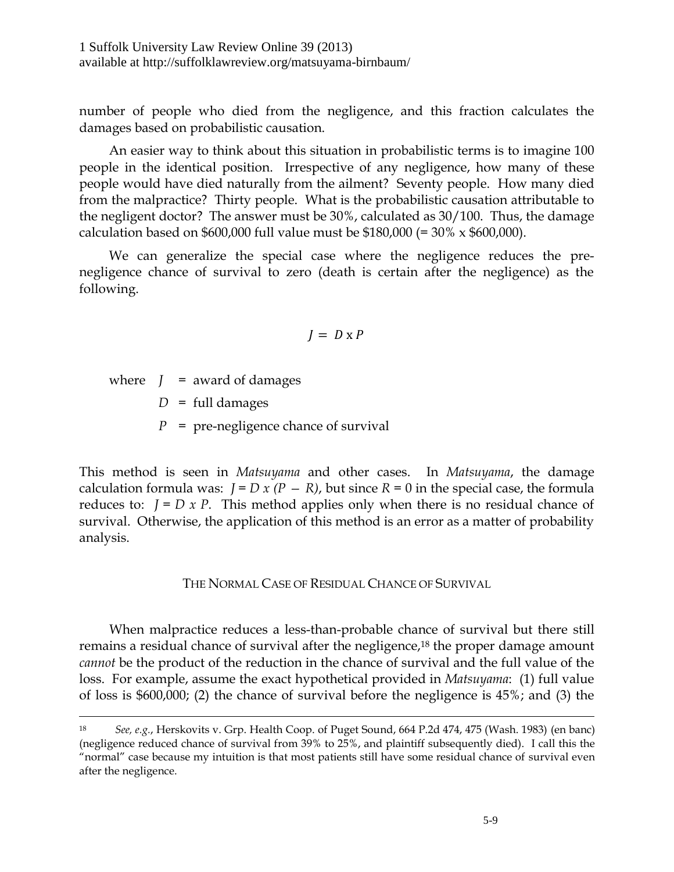1 Suffolk University Law Review Online 39 (2013) available at http://suffolklawreview.org/matsuyama-birnbaum/

number of people who died from the negligence, and this fraction calculates the damages based on probabilistic causation.

An easier way to think about this situation in probabilistic terms is to imagine 100 people in the identical position. Irrespective of any negligence, how many of these people would have died naturally from the ailment? Seventy people. How many died from the malpractice? Thirty people. What is the probabilistic causation attributable to the negligent doctor? The answer must be 30%, calculated as 30/100. Thus, the damage calculation based on \$600,000 full value must be \$180,000 (=  $30\% \times $600,000$ ).

We can generalize the special case where the negligence reduces the prenegligence chance of survival to zero (death is certain after the negligence) as the following.

$$
J = D \times P
$$

where  $J =$  award of damages

 $\overline{a}$ 

 $D = \text{full damages}$ 

*P* = pre-negligence chance of survival

This method is seen in *Matsuyama* and other cases. In *Matsuyama*, the damage calculation formula was:  $J = D x (P - R)$ , but since  $R = 0$  in the special case, the formula reduces to:  $J = D x P$ . This method applies only when there is no residual chance of survival. Otherwise, the application of this method is an error as a matter of probability analysis.

#### THE NORMAL CASE OF RESIDUAL CHANCE OF SURVIVAL

When malpractice reduces a less-than-probable chance of survival but there still remains a residual chance of survival after the negligence,<sup>18</sup> the proper damage amount *cannot* be the product of the reduction in the chance of survival and the full value of the loss. For example, assume the exact hypothetical provided in *Matsuyama*: (1) full value of loss is \$600,000; (2) the chance of survival before the negligence is 45%; and (3) the

<sup>18</sup> *See, e.g.*, Herskovits v. Grp. Health Coop. of Puget Sound, 664 P.2d 474, 475 (Wash. 1983) (en banc) (negligence reduced chance of survival from 39% to 25%, and plaintiff subsequently died). I call this the "normal" case because my intuition is that most patients still have some residual chance of survival even after the negligence.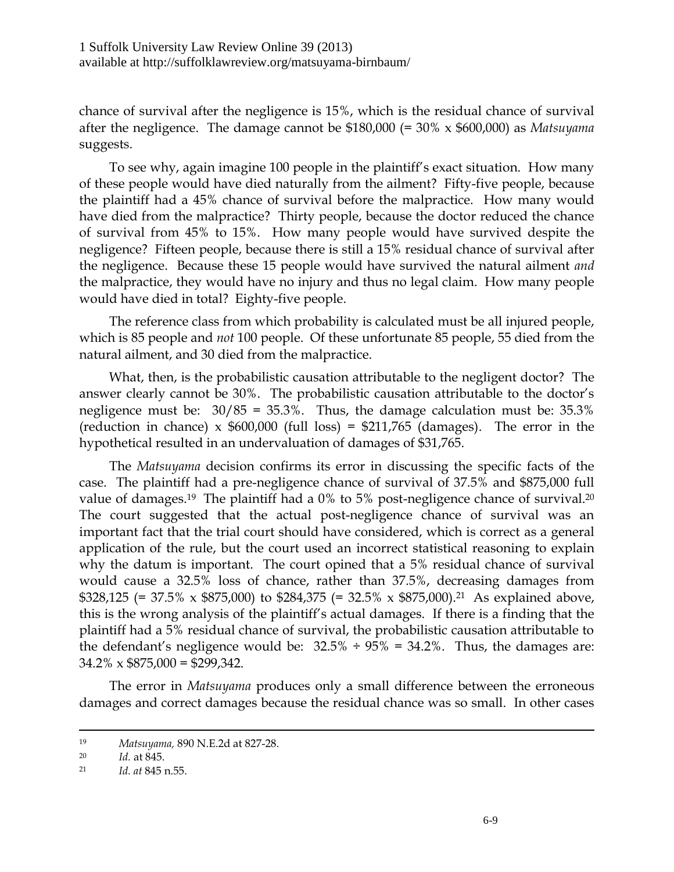chance of survival after the negligence is 15%, which is the residual chance of survival after the negligence. The damage cannot be \$180,000 (= 30% x \$600,000) as *Matsuyama* suggests.

To see why, again imagine 100 people in the plaintiff's exact situation. How many of these people would have died naturally from the ailment? Fifty-five people, because the plaintiff had a 45% chance of survival before the malpractice. How many would have died from the malpractice? Thirty people, because the doctor reduced the chance of survival from 45% to 15%. How many people would have survived despite the negligence? Fifteen people, because there is still a 15% residual chance of survival after the negligence. Because these 15 people would have survived the natural ailment *and* the malpractice, they would have no injury and thus no legal claim. How many people would have died in total? Eighty-five people.

The reference class from which probability is calculated must be all injured people, which is 85 people and *not* 100 people. Of these unfortunate 85 people, 55 died from the natural ailment, and 30 died from the malpractice.

What, then, is the probabilistic causation attributable to the negligent doctor? The answer clearly cannot be 30%. The probabilistic causation attributable to the doctor's negligence must be: 30/85 = 35.3%. Thus, the damage calculation must be: 35.3% (reduction in chance) x  $$600,000$  (full loss) =  $$211,765$  (damages). The error in the hypothetical resulted in an undervaluation of damages of \$31,765.

The *Matsuyama* decision confirms its error in discussing the specific facts of the case. The plaintiff had a pre-negligence chance of survival of 37.5% and \$875,000 full value of damages.<sup>19</sup> The plaintiff had a 0% to 5% post-negligence chance of survival.<sup>20</sup> The court suggested that the actual post-negligence chance of survival was an important fact that the trial court should have considered, which is correct as a general application of the rule, but the court used an incorrect statistical reasoning to explain why the datum is important. The court opined that a 5% residual chance of survival would cause a 32.5% loss of chance, rather than 37.5%, decreasing damages from \$328,125 (= 37.5% x \$875,000) to \$284,375 (= 32.5% x \$875,000).<sup>21</sup> As explained above, this is the wrong analysis of the plaintiff's actual damages. If there is a finding that the plaintiff had a 5% residual chance of survival, the probabilistic causation attributable to the defendant's negligence would be:  $32.5\% \div 95\% = 34.2\%$ . Thus, the damages are:  $34.2\% \times $875,000 = $299,342.$ 

The error in *Matsuyama* produces only a small difference between the erroneous damages and correct damages because the residual chance was so small. In other cases

<sup>19</sup> *Matsuyama,* 890 N.E.2d at 827-28.

<sup>20</sup> *Id.* at 845.

<sup>21</sup> *Id. at* 845 n.55.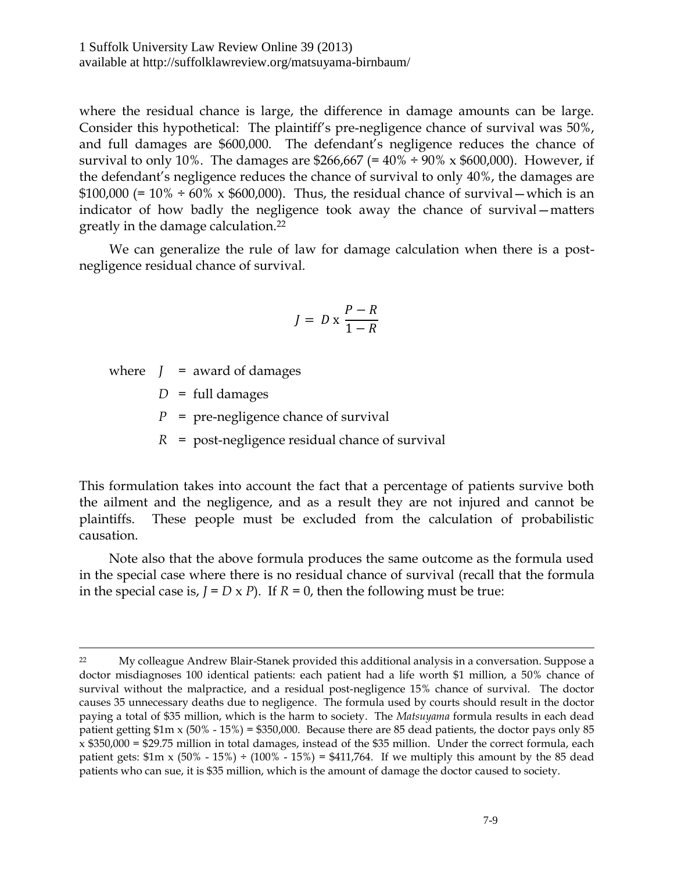where the residual chance is large, the difference in damage amounts can be large. Consider this hypothetical: The plaintiff's pre-negligence chance of survival was 50%, and full damages are \$600,000. The defendant's negligence reduces the chance of survival to only 10%. The damages are \$266,667 (=  $40\% \div 90\%$  x \$600,000). However, if the defendant's negligence reduces the chance of survival to only 40%, the damages are  $$100,000 (= 10\% \div 60\% \times $600,000)$ . Thus, the residual chance of survival — which is an indicator of how badly the negligence took away the chance of survival—matters greatly in the damage calculation.<sup>22</sup>

We can generalize the rule of law for damage calculation when there is a postnegligence residual chance of survival.

$$
J = D \ge \frac{P - R}{1 - R}
$$

where  $J =$  award of damages

 $\overline{a}$ 

 $D = \text{full damages}$ 

*P* = pre-negligence chance of survival

*R* = post-negligence residual chance of survival

This formulation takes into account the fact that a percentage of patients survive both the ailment and the negligence, and as a result they are not injured and cannot be plaintiffs. These people must be excluded from the calculation of probabilistic causation.

Note also that the above formula produces the same outcome as the formula used in the special case where there is no residual chance of survival (recall that the formula in the special case is,  $J = D \times P$ ). If  $R = 0$ , then the following must be true:

<sup>&</sup>lt;sup>22</sup> My colleague Andrew Blair-Stanek provided this additional analysis in a conversation. Suppose a doctor misdiagnoses 100 identical patients: each patient had a life worth \$1 million, a 50% chance of survival without the malpractice, and a residual post-negligence 15% chance of survival. The doctor causes 35 unnecessary deaths due to negligence. The formula used by courts should result in the doctor paying a total of \$35 million, which is the harm to society. The *Matsuyama* formula results in each dead patient getting  $$1m \times (50\% - 15\%) = $350,000$ . Because there are 85 dead patients, the doctor pays only 85  $x$  \$350,000 = \$29.75 million in total damages, instead of the \$35 million. Under the correct formula, each patient gets:  $$1m \times (50\% - 15\%) \div (100\% - 15\%) = $411,764$ . If we multiply this amount by the 85 dead patients who can sue, it is \$35 million, which is the amount of damage the doctor caused to society.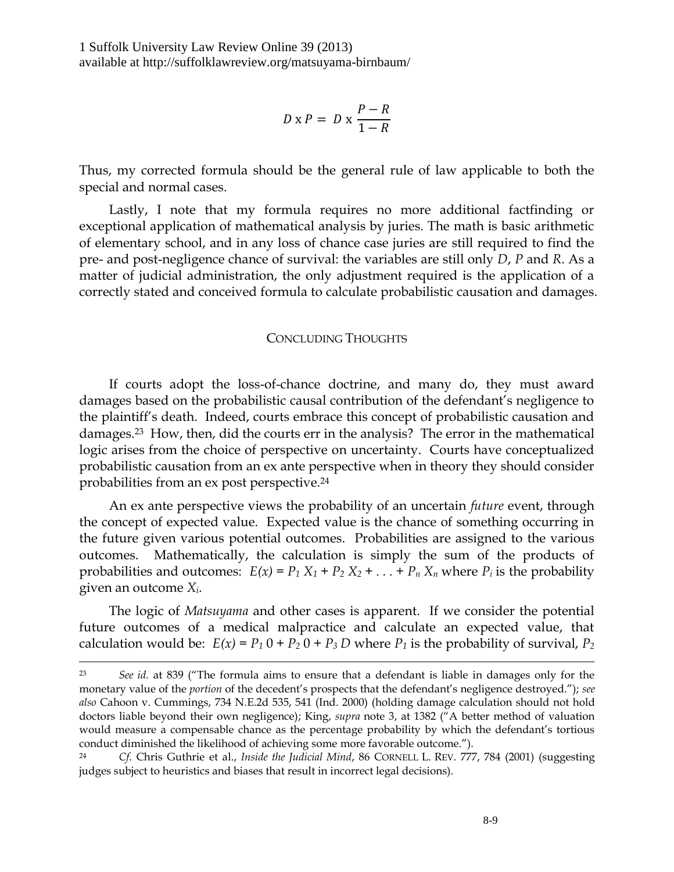$$
D \times P = D \times \frac{P - R}{1 - R}
$$

Thus, my corrected formula should be the general rule of law applicable to both the special and normal cases.

Lastly, I note that my formula requires no more additional factfinding or exceptional application of mathematical analysis by juries. The math is basic arithmetic of elementary school, and in any loss of chance case juries are still required to find the pre- and post-negligence chance of survival: the variables are still only *D*, *P* and *R*. As a matter of judicial administration, the only adjustment required is the application of a correctly stated and conceived formula to calculate probabilistic causation and damages.

#### CONCLUDING THOUGHTS

If courts adopt the loss-of-chance doctrine, and many do, they must award damages based on the probabilistic causal contribution of the defendant's negligence to the plaintiff's death. Indeed, courts embrace this concept of probabilistic causation and damages.<sup>23</sup> How, then, did the courts err in the analysis? The error in the mathematical logic arises from the choice of perspective on uncertainty. Courts have conceptualized probabilistic causation from an ex ante perspective when in theory they should consider probabilities from an ex post perspective.<sup>24</sup>

An ex ante perspective views the probability of an uncertain *future* event, through the concept of expected value. Expected value is the chance of something occurring in the future given various potential outcomes. Probabilities are assigned to the various outcomes. Mathematically, the calculation is simply the sum of the products of probabilities and outcomes:  $E(x) = P_1 X_1 + P_2 X_2 + \ldots + P_n X_n$  where  $P_i$  is the probability given an outcome *Xi*.

The logic of *Matsuyama* and other cases is apparent. If we consider the potential future outcomes of a medical malpractice and calculate an expected value, that calculation would be:  $E(x) = P_1 0 + P_2 0 + P_3 D$  where  $P_1$  is the probability of survival,  $P_2$ 

<sup>23</sup> *See id.* at 839 ("The formula aims to ensure that a defendant is liable in damages only for the monetary value of the *portion* of the decedent's prospects that the defendant's negligence destroyed."); *see also* Cahoon v. Cummings, 734 N.E.2d 535, 541 (Ind. 2000) (holding damage calculation should not hold doctors liable beyond their own negligence); King, *supra* note [3](#page-1-0), at 1382 ("A better method of valuation would measure a compensable chance as the percentage probability by which the defendant's tortious conduct diminished the likelihood of achieving some more favorable outcome.").

<sup>24</sup> *Cf*. Chris Guthrie et al., *Inside the Judicial Mind*, 86 CORNELL L. REV. 777, 784 (2001) (suggesting judges subject to heuristics and biases that result in incorrect legal decisions).